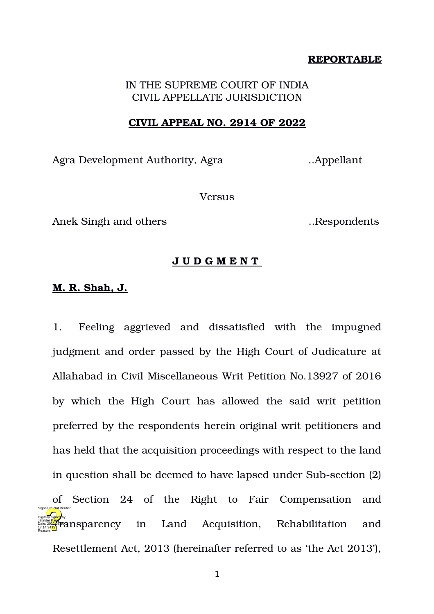# **REPORTABLE**

# IN THE SUPREME COURT OF INDIA CIVIL APPELLATE JURISDICTION

#### **CIVIL APPEAL NO. 2914 OF 2022**

Agra Development Authority, Agra ..Appellant

Versus

Anek Singh and others ..Respondents

## **J U D G M E N T**

## **M. R. Shah, J.**

1. Feeling aggrieved and dissatisfied with the impugned judgment and order passed by the High Court of Judicature at Allahabad in Civil Miscellaneous Writ Petition No.13927 of 2016 by which the High Court has allowed the said writ petition preferred by the respondents herein original writ petitioners and has held that the acquisition proceedings with respect to the land in question shall be deemed to have lapsed under Sub-section (2) of Section 24 of the Right to Fair Compensation and Land Acquisition, Rehabilitation and Resettlement Act, 2013 (hereinafter referred to as 'the Act 2013'), Digitally signed by Jatinder Kaur  $\mathcal{F}_{\text{2}}$ ansparency in 17:14:34<sup>TST</sup> Reason: Signature Not Verified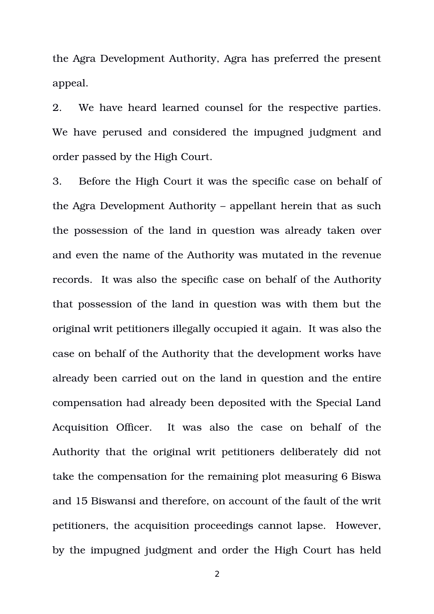the Agra Development Authority, Agra has preferred the present appeal.

2. We have heard learned counsel for the respective parties. We have perused and considered the impugned judgment and order passed by the High Court.

3. Before the High Court it was the specific case on behalf of the Agra Development Authority – appellant herein that as such the possession of the land in question was already taken over and even the name of the Authority was mutated in the revenue records. It was also the specific case on behalf of the Authority that possession of the land in question was with them but the original writ petitioners illegally occupied it again. It was also the case on behalf of the Authority that the development works have already been carried out on the land in question and the entire compensation had already been deposited with the Special Land Acquisition Officer. It was also the case on behalf of the Authority that the original writ petitioners deliberately did not take the compensation for the remaining plot measuring 6 Biswa and 15 Biswansi and therefore, on account of the fault of the writ petitioners, the acquisition proceedings cannot lapse. However, by the impugned judgment and order the High Court has held

2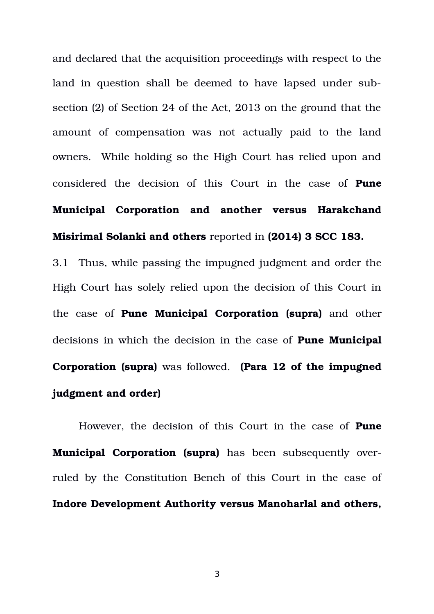and declared that the acquisition proceedings with respect to the land in question shall be deemed to have lapsed under subsection (2) of Section 24 of the Act, 2013 on the ground that the amount of compensation was not actually paid to the land owners. While holding so the High Court has relied upon and considered the decision of this Court in the case of **Pune Municipal Corporation and another versus Harakchand Misirimal Solanki and others** reported in **(2014) 3 SCC 183.**

3.1 Thus, while passing the impugned judgment and order the High Court has solely relied upon the decision of this Court in the case of **Pune Municipal Corporation (supra)** and other decisions in which the decision in the case of **Pune Municipal Corporation (supra)** was followed. **(Para 12 of the impugned judgment and order)**

However, the decision of this Court in the case of **Pune Municipal Corporation (supra)** has been subsequently overruled by the Constitution Bench of this Court in the case of **Indore Development Authority versus Manoharlal and others,**

3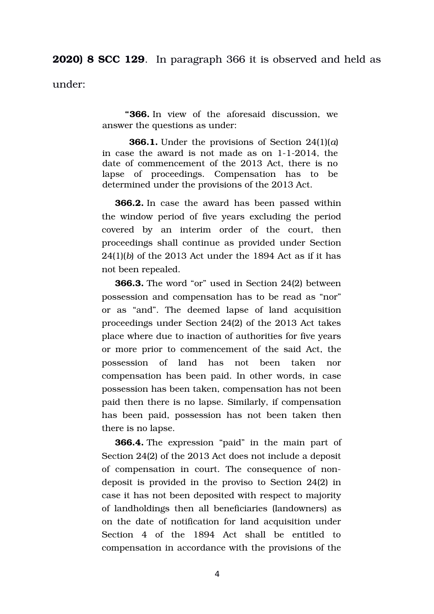**2020) 8 SCC 129**. In paragraph 366 it is observed and held as

under:

 **"366.** In view of the aforesaid discussion, we answer the questions as under:

**366.1.** Under the provisions of Section 24(1)(*a*) in case the award is not made as on  $1-1-2014$ , the date of commencement of the 2013 Act, there is no lapse of proceedings. Compensation has to be determined under the provisions of the 2013 Act.

**366.2.** In case the award has been passed within the window period of five years excluding the period covered by an interim order of the court, then proceedings shall continue as provided under Section 24(1)(*b*) of the 2013 Act under the 1894 Act as if it has not been repealed.

**366.3.** The word "or" used in Section 24(2) between possession and compensation has to be read as "nor" or as "and". The deemed lapse of land acquisition proceedings under Section 24(2) of the 2013 Act takes place where due to inaction of authorities for five years or more prior to commencement of the said Act, the possession of land has not been taken nor compensation has been paid. In other words, in case possession has been taken, compensation has not been paid then there is no lapse. Similarly, if compensation has been paid, possession has not been taken then there is no lapse.

**366.4.** The expression "paid" in the main part of Section 24(2) of the 2013 Act does not include a deposit of compensation in court. The consequence of nondeposit is provided in the proviso to Section 24(2) in case it has not been deposited with respect to majority of landholdings then all beneficiaries (landowners) as on the date of notification for land acquisition under Section 4 of the 1894 Act shall be entitled to compensation in accordance with the provisions of the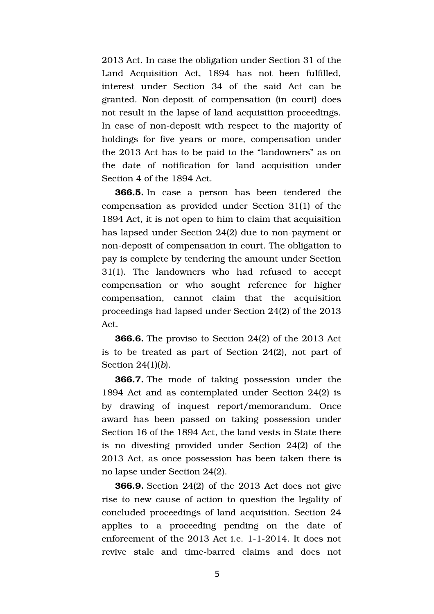2013 Act. In case the obligation under Section 31 of the Land Acquisition Act, 1894 has not been fulfilled, interest under Section 34 of the said Act can be granted. Non-deposit of compensation (in court) does not result in the lapse of land acquisition proceedings. In case of non-deposit with respect to the majority of holdings for five years or more, compensation under the 2013 Act has to be paid to the "landowners" as on the date of notification for land acquisition under Section 4 of the 1894 Act.

**366.5.** In case a person has been tendered the compensation as provided under Section 31(1) of the 1894 Act, it is not open to him to claim that acquisition has lapsed under Section 24(2) due to non-payment or non-deposit of compensation in court. The obligation to pay is complete by tendering the amount under Section 31(1). The landowners who had refused to accept compensation or who sought reference for higher compensation, cannot claim that the acquisition proceedings had lapsed under Section 24(2) of the 2013 Act.

**366.6.** The proviso to Section 24(2) of the 2013 Act is to be treated as part of Section 24(2), not part of Section 24(1)(*b*).

**366.7.** The mode of taking possession under the 1894 Act and as contemplated under Section 24(2) is by drawing of inquest report/memorandum. Once award has been passed on taking possession under Section 16 of the 1894 Act, the land vests in State there is no divesting provided under Section 24(2) of the 2013 Act, as once possession has been taken there is no lapse under Section 24(2).

**366.9.** Section 24(2) of the 2013 Act does not give rise to new cause of action to question the legality of concluded proceedings of land acquisition. Section 24 applies to a proceeding pending on the date of enforcement of the  $2013$  Act i.e. 1-1-2014. It does not revive stale and time-barred claims and does not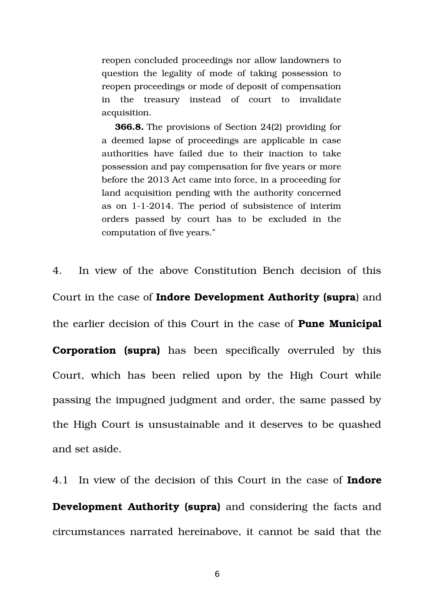reopen concluded proceedings nor allow landowners to question the legality of mode of taking possession to reopen proceedings or mode of deposit of compensation in the treasury instead of court to invalidate acquisition.

**366.8.** The provisions of Section 24(2) providing for a deemed lapse of proceedings are applicable in case authorities have failed due to their inaction to take possession and pay compensation for five years or more before the 2013 Act came into force, in a proceeding for land acquisition pending with the authority concerned as on 112014. The period of subsistence of interim orders passed by court has to be excluded in the computation of five years."

4. In view of the above Constitution Bench decision of this Court in the case of **Indore Development Authority (supra**) and the earlier decision of this Court in the case of **Pune Municipal Corporation (supra)** has been specifically overruled by this Court, which has been relied upon by the High Court while passing the impugned judgment and order, the same passed by the High Court is unsustainable and it deserves to be quashed and set aside.

4.1 In view of the decision of this Court in the case of **Indore Development Authority (supra)** and considering the facts and circumstances narrated hereinabove, it cannot be said that the

6